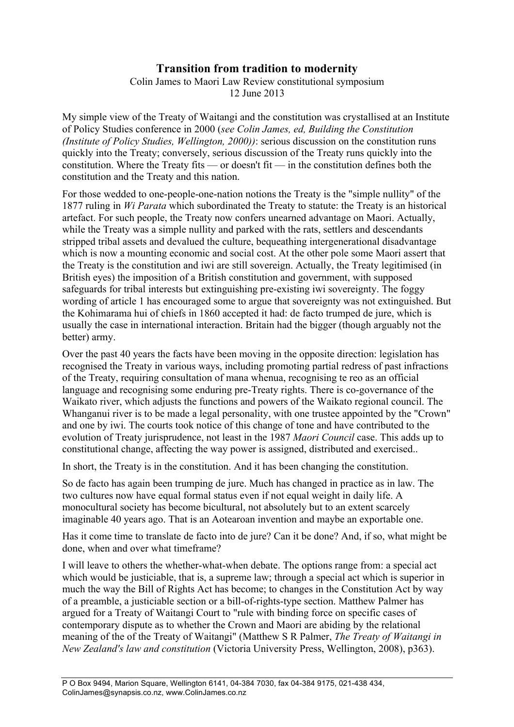## **Transition from tradition to modernity**

Colin James to Maori Law Review constitutional symposium 12 June 2013

My simple view of the Treaty of Waitangi and the constitution was crystallised at an Institute of Policy Studies conference in 2000 (*see Colin James, ed, Building the Constitution (Institute of Policy Studies, Wellington, 2000))*: serious discussion on the constitution runs quickly into the Treaty; conversely, serious discussion of the Treaty runs quickly into the constitution. Where the Treaty fits — or doesn't fit — in the constitution defines both the constitution and the Treaty and this nation.

For those wedded to one-people-one-nation notions the Treaty is the "simple nullity" of the 1877 ruling in *Wi Parata* which subordinated the Treaty to statute: the Treaty is an historical artefact. For such people, the Treaty now confers unearned advantage on Maori. Actually, while the Treaty was a simple nullity and parked with the rats, settlers and descendants stripped tribal assets and devalued the culture, bequeathing intergenerational disadvantage which is now a mounting economic and social cost. At the other pole some Maori assert that the Treaty is the constitution and iwi are still sovereign. Actually, the Treaty legitimised (in British eyes) the imposition of a British constitution and government, with supposed safeguards for tribal interests but extinguishing pre-existing iwi sovereignty. The foggy wording of article 1 has encouraged some to argue that sovereignty was not extinguished. But the Kohimarama hui of chiefs in 1860 accepted it had: de facto trumped de jure, which is usually the case in international interaction. Britain had the bigger (though arguably not the better) army.

Over the past 40 years the facts have been moving in the opposite direction: legislation has recognised the Treaty in various ways, including promoting partial redress of past infractions of the Treaty, requiring consultation of mana whenua, recognising te reo as an official language and recognising some enduring pre-Treaty rights. There is co-governance of the Waikato river, which adjusts the functions and powers of the Waikato regional council. The Whanganui river is to be made a legal personality, with one trustee appointed by the "Crown" and one by iwi. The courts took notice of this change of tone and have contributed to the evolution of Treaty jurisprudence, not least in the 1987 *Maori Council* case. This adds up to constitutional change, affecting the way power is assigned, distributed and exercised..

In short, the Treaty is in the constitution. And it has been changing the constitution.

So de facto has again been trumping de jure. Much has changed in practice as in law. The two cultures now have equal formal status even if not equal weight in daily life. A monocultural society has become bicultural, not absolutely but to an extent scarcely imaginable 40 years ago. That is an Aotearoan invention and maybe an exportable one.

Has it come time to translate de facto into de jure? Can it be done? And, if so, what might be done, when and over what timeframe?

I will leave to others the whether-what-when debate. The options range from: a special act which would be justiciable, that is, a supreme law; through a special act which is superior in much the way the Bill of Rights Act has become; to changes in the Constitution Act by way of a preamble, a justiciable section or a bill-of-rights-type section. Matthew Palmer has argued for a Treaty of Waitangi Court to "rule with binding force on specific cases of contemporary dispute as to whether the Crown and Maori are abiding by the relational meaning of the of the Treaty of Waitangi" (Matthew S R Palmer, *The Treaty of Waitangi in New Zealand's law and constitution* (Victoria University Press, Wellington, 2008), p363).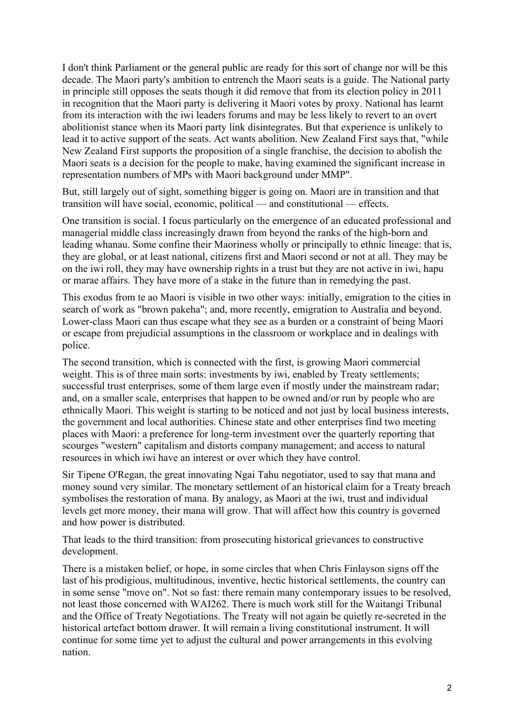I don't think Parliament or the general public are ready for this sort of change nor will be this decade. The Maori party's ambition to entrench the Maori seats is a guide. The National party in principle still opposes the seats though it did remove that from its election policy in 2011 in recognition that the Maori party is delivering it Maori votes by proxy. National has learnt from its interaction with the iwi leaders forums and may be less likely to revert to an overt abolitionist stance when its Maori party link disintegrates. But that experience is unlikely to lead it to active support of the seats. Act wants abolition. New Zealand First says that, "while New Zealand First supports the proposition of a single franchise, the decision to abolish the Maori seats is a decision for the people to make, having examined the significant increase in representation numbers of MPs with Maori background under MMP".

But, still largely out of sight, something bigger is going on. Maori are in transition and that transition will have social, economic, political — and constitutional — effects.

One transition is social. I focus particularly on the emergence of an educated professional and managerial middle class increasingly drawn from beyond the ranks of the high-born and leading whanau. Some confine their Maoriness wholly or principally to ethnic lineage: that is, they are global, or at least national, citizens first and Maori second or not at all. They may be on the iwi roll, they may have ownership rights in a trust but they are not active in iwi, hapu or marae affairs. They have more of a stake in the future than in remedying the past.

This exodus from te ao Maori is visible in two other ways: initially, emigration to the cities in search of work as "brown pakeha"; and, more recently, emigration to Australia and beyond. Lower-class Maori can thus escape what they see as a burden or a constraint of being Maori or escape from prejudicial assumptions in the classroom or workplace and in dealings with police.

The second transition, which is connected with the first, is growing Maori commercial weight. This is of three main sorts: investments by iwi, enabled by Treaty settlements; successful trust enterprises, some of them large even if mostly under the mainstream radar; and, on a smaller scale, enterprises that happen to be owned and/or run by people who are ethnically Maori. This weight is starting to be noticed and not just by local business interests, the government and local authorities. Chinese state and other enterprises find two meeting places with Maori: a preference for long-term investment over the quarterly reporting that scourges "western" capitalism and distorts company management; and access to natural resources in which iwi have an interest or over which they have control.

Sir Tipene O'Regan, the great innovating Ngai Tahu negotiator, used to say that mana and money sound very similar. The monetary settlement of an historical claim for a Treaty breach symbolises the restoration of mana. By analogy, as Maori at the iwi, trust and individual levels get more money, their mana will grow. That will affect how this country is governed and how power is distributed.

That leads to the third transition: from prosecuting historical grievances to constructive development.

There is a mistaken belief, or hope, in some circles that when Chris Finlayson signs off the last of his prodigious, multitudinous, inventive, hectic historical settlements, the country can in some sense "move on". Not so fast: there remain many contemporary issues to be resolved, not least those concerned with WAI262. There is much work still for the Waitangi Tribunal and the Office of Treaty Negotiations. The Treaty will not again be quietly re-secreted in the historical artefact bottom drawer. It will remain a living constitutional instrument. It will continue for some time yet to adjust the cultural and power arrangements in this evolving nation.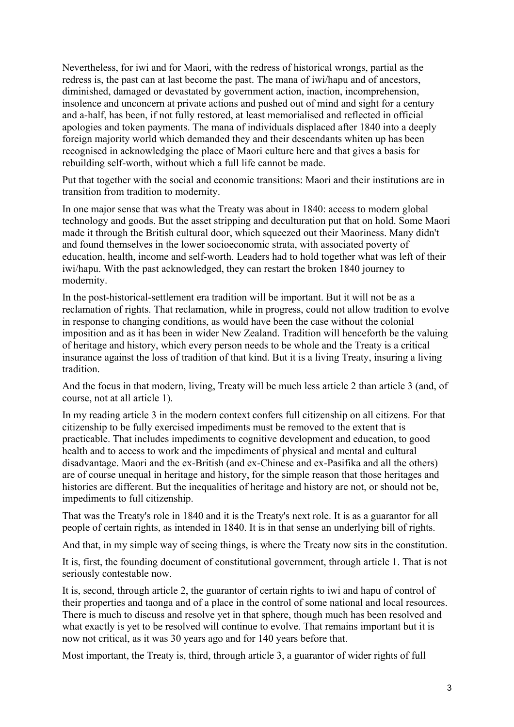Nevertheless, for iwi and for Maori, with the redress of historical wrongs, partial as the redress is, the past can at last become the past. The mana of iwi/hapu and of ancestors, diminished, damaged or devastated by government action, inaction, incomprehension, insolence and unconcern at private actions and pushed out of mind and sight for a century and a-half, has been, if not fully restored, at least memorialised and reflected in official apologies and token payments. The mana of individuals displaced after 1840 into a deeply foreign majority world which demanded they and their descendants whiten up has been recognised in acknowledging the place of Maori culture here and that gives a basis for rebuilding self-worth, without which a full life cannot be made.

Put that together with the social and economic transitions: Maori and their institutions are in transition from tradition to modernity.

In one major sense that was what the Treaty was about in 1840: access to modern global technology and goods. But the asset stripping and deculturation put that on hold. Some Maori made it through the British cultural door, which squeezed out their Maoriness. Many didn't and found themselves in the lower socioeconomic strata, with associated poverty of education, health, income and self-worth. Leaders had to hold together what was left of their iwi/hapu. With the past acknowledged, they can restart the broken 1840 journey to modernity.

In the post-historical-settlement era tradition will be important. But it will not be as a reclamation of rights. That reclamation, while in progress, could not allow tradition to evolve in response to changing conditions, as would have been the case without the colonial imposition and as it has been in wider New Zealand. Tradition will henceforth be the valuing of heritage and history, which every person needs to be whole and the Treaty is a critical insurance against the loss of tradition of that kind. But it is a living Treaty, insuring a living tradition.

And the focus in that modern, living, Treaty will be much less article 2 than article 3 (and, of course, not at all article 1).

In my reading article 3 in the modern context confers full citizenship on all citizens. For that citizenship to be fully exercised impediments must be removed to the extent that is practicable. That includes impediments to cognitive development and education, to good health and to access to work and the impediments of physical and mental and cultural disadvantage. Maori and the ex-British (and ex-Chinese and ex-Pasifika and all the others) are of course unequal in heritage and history, for the simple reason that those heritages and histories are different. But the inequalities of heritage and history are not, or should not be, impediments to full citizenship.

That was the Treaty's role in 1840 and it is the Treaty's next role. It is as a guarantor for all people of certain rights, as intended in 1840. It is in that sense an underlying bill of rights.

And that, in my simple way of seeing things, is where the Treaty now sits in the constitution.

It is, first, the founding document of constitutional government, through article 1. That is not seriously contestable now.

It is, second, through article 2, the guarantor of certain rights to iwi and hapu of control of their properties and taonga and of a place in the control of some national and local resources. There is much to discuss and resolve yet in that sphere, though much has been resolved and what exactly is yet to be resolved will continue to evolve. That remains important but it is now not critical, as it was 30 years ago and for 140 years before that.

Most important, the Treaty is, third, through article 3, a guarantor of wider rights of full